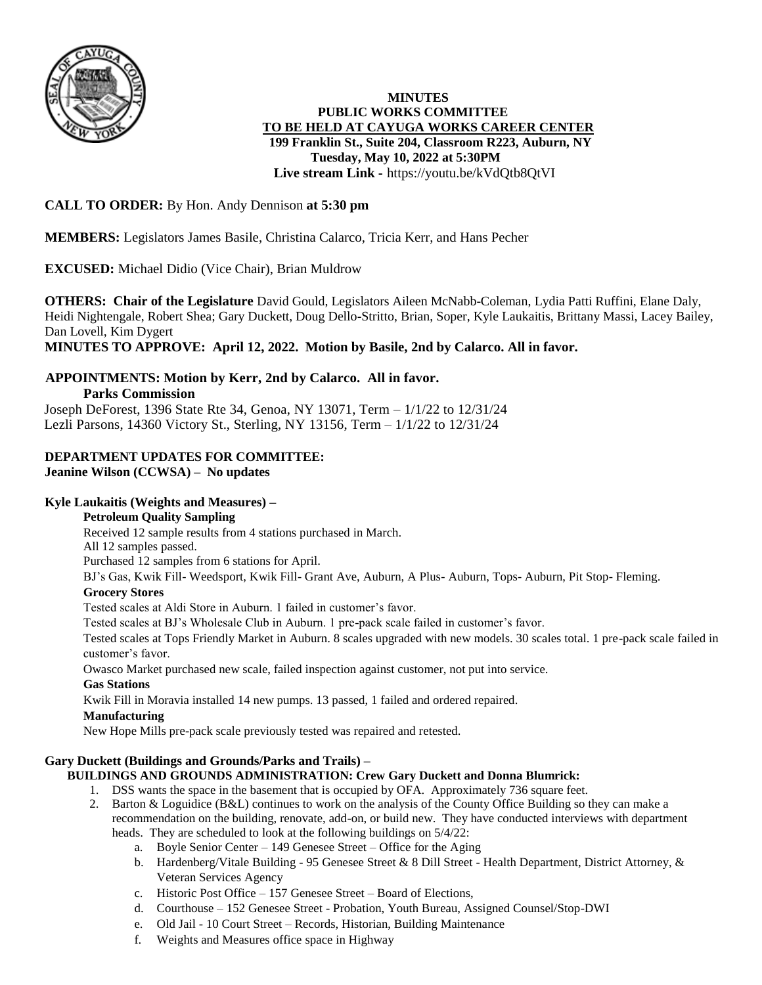

## **MINUTES PUBLIC WORKS COMMITTEE TO BE HELD AT CAYUGA WORKS CAREER CENTER 199 Franklin St., Suite 204, Classroom R223, Auburn, NY Tuesday, May 10, 2022 at 5:30PM Live stream Link -** <https://youtu.be/kVdQtb8QtVI>

# **CALL TO ORDER:** By Hon. Andy Dennison **at 5:30 pm**

**MEMBERS:** Legislators James Basile, Christina Calarco, Tricia Kerr, and Hans Pecher

## **EXCUSED:** Michael Didio (Vice Chair), Brian Muldrow

**OTHERS: Chair of the Legislature** David Gould, Legislators Aileen McNabb-Coleman, Lydia Patti Ruffini, Elane Daly, Heidi Nightengale, Robert Shea; Gary Duckett, Doug Dello-Stritto, Brian, Soper, Kyle Laukaitis, Brittany Massi, Lacey Bailey, Dan Lovell, Kim Dygert

**MINUTES TO APPROVE: April 12, 2022. Motion by Basile, 2nd by Calarco. All in favor.**

#### **APPOINTMENTS: Motion by Kerr, 2nd by Calarco. All in favor. Parks Commission**

Joseph DeForest, 1396 State Rte 34, Genoa, NY 13071, Term – 1/1/22 to 12/31/24 Lezli Parsons, 14360 Victory St., Sterling, NY 13156, Term – 1/1/22 to 12/31/24

#### **DEPARTMENT UPDATES FOR COMMITTEE: Jeanine Wilson (CCWSA) – No updates**

## **Kyle Laukaitis (Weights and Measures) –**

## **Petroleum Quality Sampling**

Received 12 sample results from 4 stations purchased in March.

All 12 samples passed.

Purchased 12 samples from 6 stations for April.

BJ's Gas, Kwik Fill- Weedsport, Kwik Fill- Grant Ave, Auburn, A Plus- Auburn, Tops- Auburn, Pit Stop- Fleming.

## **Grocery Stores**

Tested scales at Aldi Store in Auburn. 1 failed in customer's favor.

Tested scales at BJ's Wholesale Club in Auburn. 1 pre-pack scale failed in customer's favor.

Tested scales at Tops Friendly Market in Auburn. 8 scales upgraded with new models. 30 scales total. 1 pre-pack scale failed in customer's favor.

Owasco Market purchased new scale, failed inspection against customer, not put into service.

## **Gas Stations**

Kwik Fill in Moravia installed 14 new pumps. 13 passed, 1 failed and ordered repaired.

## **Manufacturing**

New Hope Mills pre-pack scale previously tested was repaired and retested.

# **Gary Duckett (Buildings and Grounds/Parks and Trails) –**

## **BUILDINGS AND GROUNDS ADMINISTRATION: Crew Gary Duckett and Donna Blumrick:**

- 1. DSS wants the space in the basement that is occupied by OFA. Approximately 736 square feet.
- 2. Barton & Loguidice (B&L) continues to work on the analysis of the County Office Building so they can make a recommendation on the building, renovate, add-on, or build new. They have conducted interviews with department heads. They are scheduled to look at the following buildings on 5/4/22:
	- a. Boyle Senior Center 149 Genesee Street Office for the Aging
	- b. Hardenberg/Vitale Building 95 Genesee Street & 8 Dill Street Health Department, District Attorney, & Veteran Services Agency
	- c. Historic Post Office 157 Genesee Street Board of Elections,
	- d. Courthouse 152 Genesee Street Probation, Youth Bureau, Assigned Counsel/Stop-DWI
	- e. Old Jail 10 Court Street Records, Historian, Building Maintenance
	- f. Weights and Measures office space in Highway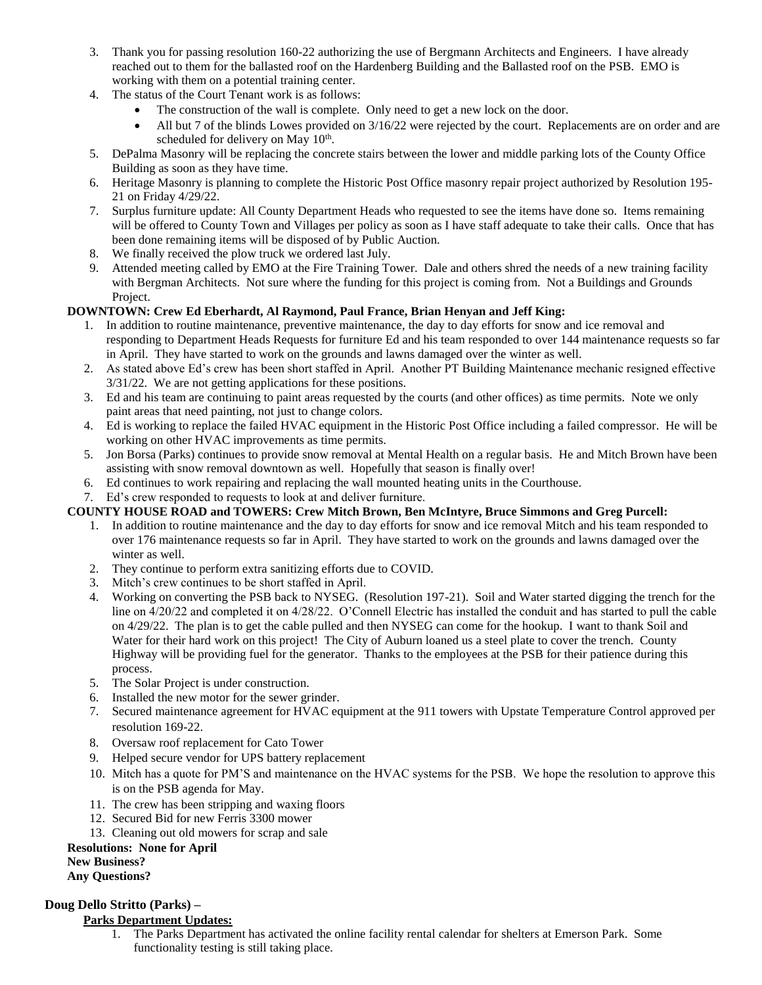- 3. Thank you for passing resolution 160-22 authorizing the use of Bergmann Architects and Engineers. I have already reached out to them for the ballasted roof on the Hardenberg Building and the Ballasted roof on the PSB. EMO is working with them on a potential training center.
- 4. The status of the Court Tenant work is as follows:
	- The construction of the wall is complete. Only need to get a new lock on the door.
	- $\bullet$  All but 7 of the blinds Lowes provided on  $3/16/22$  were rejected by the court. Replacements are on order and are scheduled for delivery on May 10<sup>th</sup>.
- 5. DePalma Masonry will be replacing the concrete stairs between the lower and middle parking lots of the County Office Building as soon as they have time.
- 6. Heritage Masonry is planning to complete the Historic Post Office masonry repair project authorized by Resolution 195- 21 on Friday 4/29/22.
- 7. Surplus furniture update: All County Department Heads who requested to see the items have done so. Items remaining will be offered to County Town and Villages per policy as soon as I have staff adequate to take their calls. Once that has been done remaining items will be disposed of by Public Auction.
- 8. We finally received the plow truck we ordered last July.
- 9. Attended meeting called by EMO at the Fire Training Tower. Dale and others shred the needs of a new training facility with Bergman Architects. Not sure where the funding for this project is coming from. Not a Buildings and Grounds Project.

## **DOWNTOWN: Crew Ed Eberhardt, Al Raymond, Paul France, Brian Henyan and Jeff King:**

- 1. In addition to routine maintenance, preventive maintenance, the day to day efforts for snow and ice removal and responding to Department Heads Requests for furniture Ed and his team responded to over 144 maintenance requests so far in April. They have started to work on the grounds and lawns damaged over the winter as well.
- 2. As stated above Ed's crew has been short staffed in April. Another PT Building Maintenance mechanic resigned effective 3/31/22. We are not getting applications for these positions.
- 3. Ed and his team are continuing to paint areas requested by the courts (and other offices) as time permits. Note we only paint areas that need painting, not just to change colors.
- 4. Ed is working to replace the failed HVAC equipment in the Historic Post Office including a failed compressor. He will be working on other HVAC improvements as time permits.
- 5. Jon Borsa (Parks) continues to provide snow removal at Mental Health on a regular basis. He and Mitch Brown have been assisting with snow removal downtown as well. Hopefully that season is finally over!
- 6. Ed continues to work repairing and replacing the wall mounted heating units in the Courthouse.
- 7. Ed's crew responded to requests to look at and deliver furniture.

#### **COUNTY HOUSE ROAD and TOWERS: Crew Mitch Brown, Ben McIntyre, Bruce Simmons and Greg Purcell:**

- 1. In addition to routine maintenance and the day to day efforts for snow and ice removal Mitch and his team responded to over 176 maintenance requests so far in April. They have started to work on the grounds and lawns damaged over the winter as well.
- 2. They continue to perform extra sanitizing efforts due to COVID.
- 3. Mitch's crew continues to be short staffed in April.
- 4. Working on converting the PSB back to NYSEG. (Resolution 197-21). Soil and Water started digging the trench for the line on 4/20/22 and completed it on 4/28/22. O'Connell Electric has installed the conduit and has started to pull the cable on 4/29/22. The plan is to get the cable pulled and then NYSEG can come for the hookup. I want to thank Soil and Water for their hard work on this project! The City of Auburn loaned us a steel plate to cover the trench. County Highway will be providing fuel for the generator. Thanks to the employees at the PSB for their patience during this process.
- 5. The Solar Project is under construction.
- 6. Installed the new motor for the sewer grinder.
- 7. Secured maintenance agreement for HVAC equipment at the 911 towers with Upstate Temperature Control approved per resolution 169-22.
- 8. Oversaw roof replacement for Cato Tower
- 9. Helped secure vendor for UPS battery replacement
- 10. Mitch has a quote for PM'S and maintenance on the HVAC systems for the PSB. We hope the resolution to approve this is on the PSB agenda for May.
- 11. The crew has been stripping and waxing floors
- 12. Secured Bid for new Ferris 3300 mower
- 13. Cleaning out old mowers for scrap and sale

#### **Resolutions: None for April**

# **New Business?**

#### **Any Questions?**

## **Doug Dello Stritto (Parks) –**

#### **Parks Department Updates:**

1. The Parks Department has activated the online facility rental calendar for shelters at Emerson Park. Some functionality testing is still taking place.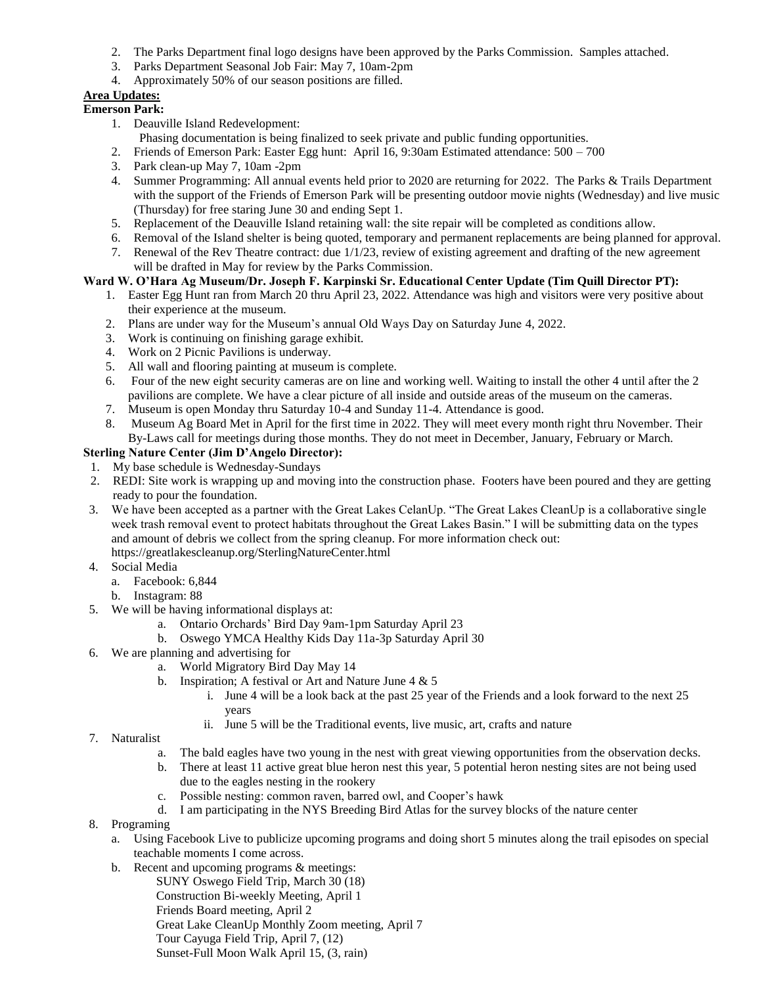- 2. The Parks Department final logo designs have been approved by the Parks Commission. Samples attached.
- 3. Parks Department Seasonal Job Fair: May 7, 10am-2pm
- 4. Approximately 50% of our season positions are filled.

## **Area Updates:**

#### **Emerson Park:**

- 1. Deauville Island Redevelopment:
- Phasing documentation is being finalized to seek private and public funding opportunities.
- 2. Friends of Emerson Park: Easter Egg hunt: April 16, 9:30am Estimated attendance: 500 700
- 3. Park clean-up May 7, 10am -2pm
- 4. Summer Programming: All annual events held prior to 2020 are returning for 2022. The Parks & Trails Department with the support of the Friends of Emerson Park will be presenting outdoor movie nights (Wednesday) and live music (Thursday) for free staring June 30 and ending Sept 1.
- 5. Replacement of the Deauville Island retaining wall: the site repair will be completed as conditions allow.
- 6. Removal of the Island shelter is being quoted, temporary and permanent replacements are being planned for approval.
- 7. Renewal of the Rev Theatre contract: due 1/1/23, review of existing agreement and drafting of the new agreement will be drafted in May for review by the Parks Commission.

#### **Ward W. O'Hara Ag Museum/Dr. Joseph F. Karpinski Sr. Educational Center Update (Tim Quill Director PT):**

- 1. Easter Egg Hunt ran from March 20 thru April 23, 2022. Attendance was high and visitors were very positive about their experience at the museum.
- 2. Plans are under way for the Museum's annual Old Ways Day on Saturday June 4, 2022.
- 3. Work is continuing on finishing garage exhibit.
- 4. Work on 2 Picnic Pavilions is underway.
- 5. All wall and flooring painting at museum is complete.
- 6. Four of the new eight security cameras are on line and working well. Waiting to install the other 4 until after the 2 pavilions are complete. We have a clear picture of all inside and outside areas of the museum on the cameras.
- 7. Museum is open Monday thru Saturday 10-4 and Sunday 11-4. Attendance is good.
- 8. Museum Ag Board Met in April for the first time in 2022. They will meet every month right thru November. Their By-Laws call for meetings during those months. They do not meet in December, January, February or March.

#### **Sterling Nature Center (Jim D'Angelo Director):**

- 1. My base schedule is Wednesday-Sundays
- 2. REDI: Site work is wrapping up and moving into the construction phase. Footers have been poured and they are getting ready to pour the foundation.
- 3. We have been accepted as a partner with the Great Lakes CelanUp. "The Great Lakes CleanUp is a collaborative single week trash removal event to protect habitats throughout the Great Lakes Basin." I will be submitting data on the types and amount of debris we collect from the spring cleanup. For more information check out:
	- https://greatlakescleanup.org/SterlingNatureCenter.html
- 4. Social Media
	- a. Facebook: 6,844
	- b. Instagram: 88
- 5. We will be having informational displays at:
	- a. Ontario Orchards' Bird Day 9am-1pm Saturday April 23
	- b. Oswego YMCA Healthy Kids Day 11a-3p Saturday April 30
- 6. We are planning and advertising for
	- a. World Migratory Bird Day May 14
	- b. Inspiration; A festival or Art and Nature June  $4 \& 5$ 
		- i. June 4 will be a look back at the past 25 year of the Friends and a look forward to the next 25 years
		- ii. June 5 will be the Traditional events, live music, art, crafts and nature
- 7. Naturalist
	- a. The bald eagles have two young in the nest with great viewing opportunities from the observation decks.
	- b. There at least 11 active great blue heron nest this year, 5 potential heron nesting sites are not being used due to the eagles nesting in the rookery
	- c. Possible nesting: common raven, barred owl, and Cooper's hawk
	- d. I am participating in the NYS Breeding Bird Atlas for the survey blocks of the nature center
- 8. Programing
	- a. Using Facebook Live to publicize upcoming programs and doing short 5 minutes along the trail episodes on special teachable moments I come across.
	- b. Recent and upcoming programs & meetings:
		- SUNY Oswego Field Trip, March 30 (18) Construction Bi-weekly Meeting, April 1 Friends Board meeting, April 2 Great Lake CleanUp Monthly Zoom meeting, April 7 Tour Cayuga Field Trip, April 7, (12) Sunset-Full Moon Walk April 15, (3, rain)